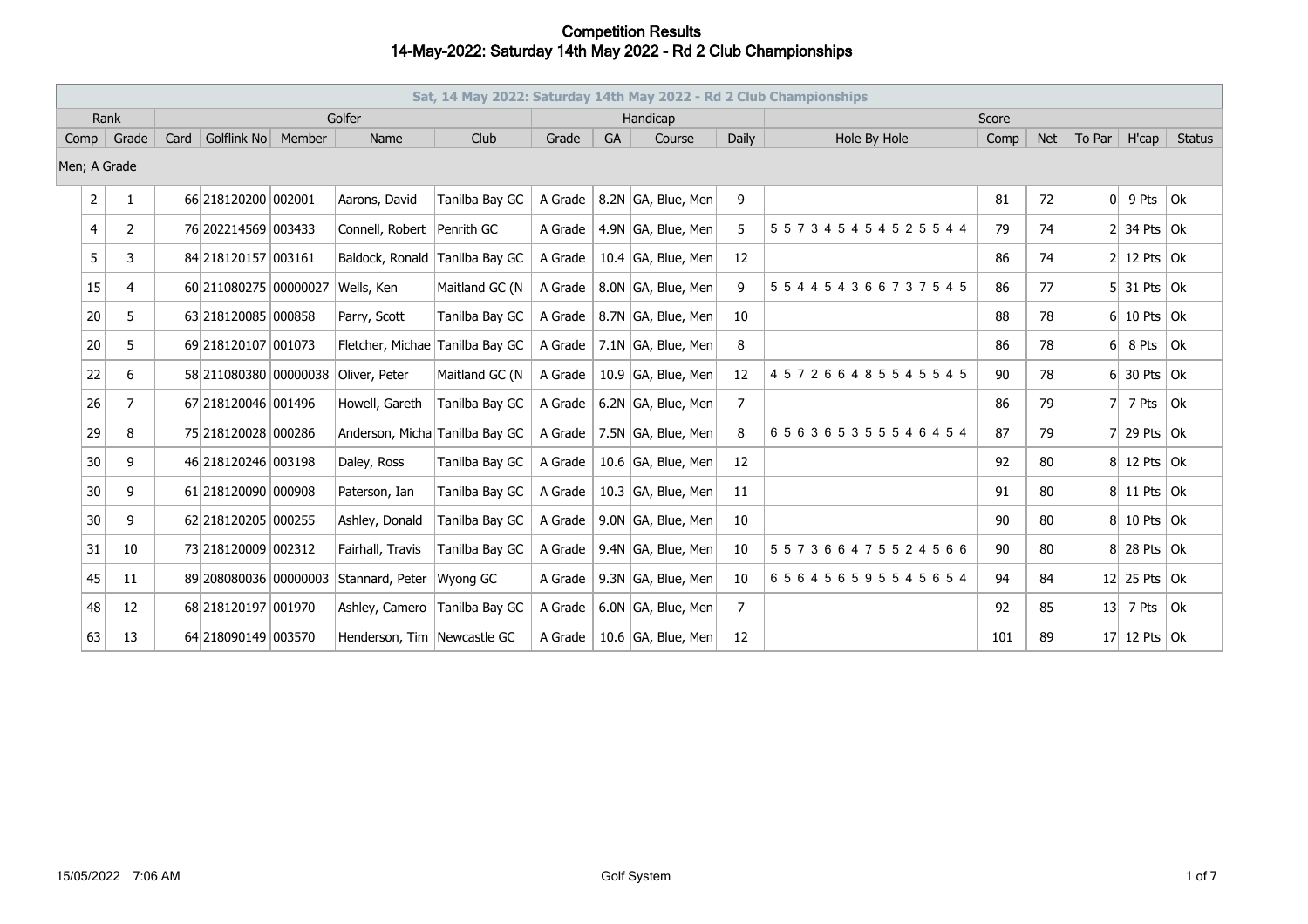|                | Sat, 14 May 2022: Saturday 14th May 2022 - Rd 2 Club Championships |      |                        |        |                                 |                |         |    |                        |                |                               |       |            |                 |                   |               |
|----------------|--------------------------------------------------------------------|------|------------------------|--------|---------------------------------|----------------|---------|----|------------------------|----------------|-------------------------------|-------|------------|-----------------|-------------------|---------------|
|                | Rank                                                               |      |                        |        | Golfer                          |                |         |    | Handicap               |                |                               | Score |            |                 |                   |               |
| Comp           | Grade                                                              | Card | Golflink No            | Member | Name                            | Club           | Grade   | GA | Course                 | Daily          | Hole By Hole                  | Comp  | <b>Net</b> | To Par          | H'cap             | <b>Status</b> |
| Men; A Grade   |                                                                    |      |                        |        |                                 |                |         |    |                        |                |                               |       |            |                 |                   |               |
| $\overline{2}$ | 1                                                                  |      | 66 218120200 002001    |        | Aarons, David                   | Tanilba Bay GC | A Grade |    | 8.2N GA, Blue, Men     | 9              |                               | 81    | 72         | 0               | 9 Pts             | ∣ok           |
| 4              | 2                                                                  |      | 76 202214569 003433    |        | Connell, Robert                 | Penrith GC     | A Grade |    | 4.9N GA, Blue, Men     | 5              | 5 5 7 3 4 5 4 5 4 5 2 5 5 4 4 | 79    | 74         |                 | $2$ 34 Pts Ok     |               |
| 5              | 3                                                                  |      | 84 218 120157 003161   |        | Baldock, Ronald Tanilba Bay GC  |                | A Grade |    | 10.4 $ GA$ , Blue, Men | 12             |                               | 86    | 74         |                 | 12 Pts $\vert$ Ok |               |
| 15             | $\overline{4}$                                                     |      | 60 211080275 00000027  |        | Wells, Ken                      | Maitland GC (N | A Grade |    | 8.0N GA, Blue, Men     | 9              | 554454366737545               | 86    | 77         |                 | $5$ 31 Pts Ok     |               |
| 20             | 5                                                                  |      | 63 218120085 000858    |        | Parry, Scott                    | Tanilba Bay GC | A Grade |    | 8.7N GA, Blue, Men     | 10             |                               | 88    | 78         |                 | $6$ 10 Pts Ok     |               |
| 20             | 5                                                                  |      | 69 218120107 001073    |        | Fletcher, Michae Tanilba Bay GC |                | A Grade |    | 7.1N GA, Blue, Men     | 8              |                               | 86    | 78         | 61              | 8 Pts             | ∣ok           |
| 22             | 6                                                                  |      | 58 211080380 00000038  |        | Oliver, Peter                   | Maitland GC (N | A Grade |    | 10.9 $ GA$ , Blue, Men | 12             | 457266485545545               | 90    | 78         | 61              | 30 Pts $\vert$ Ok |               |
| 26             | 7                                                                  |      | 67 218120046 001496    |        | Howell, Gareth                  | Tanilba Bay GC | A Grade |    | 6.2N GA, Blue, Men     | 7              |                               | 86    | 79         |                 | 7 Pts             | l Ok          |
| 29             | 8                                                                  |      | 75 218120028 000286    |        | Anderson, Micha Tanilba Bay GC  |                | A Grade |    | 7.5N GA, Blue, Men     | 8              | 656365355546454               | 87    | 79         |                 | 29 Pts $\vert$ Ok |               |
| 30             | 9                                                                  |      | 46 218120246 003198    |        | Daley, Ross                     | Tanilba Bay GC | A Grade |    | 10.6 $ GA$ , Blue, Men | 12             |                               | 92    | 80         |                 | 8 12 Pts Ok       |               |
| 30             | 9                                                                  |      | 61 218120090 000908    |        | Paterson, Ian                   | Tanilba Bay GC | A Grade |    | 10.3 $ GA$ , Blue, Men | 11             |                               | 91    | 80         |                 | 8 11 Pts Ok       |               |
| 30             | 9                                                                  |      | 62 218120205 000255    |        | Ashley, Donald                  | Tanilba Bay GC | A Grade |    | 9.0N GA, Blue, Men     | 10             |                               | 90    | 80         |                 | $8 10$ Pts $ 0k $ |               |
| 31             | 10                                                                 |      | 73 218120009 002312    |        | Fairhall, Travis                | Tanilba Bay GC | A Grade |    | 9.4N GA, Blue, Men     | 10             | 557366475524566               | 90    | 80         |                 | $8$ 28 Pts Ok     |               |
| 45             | 11                                                                 |      | 89 208080036 000000003 |        | Stannard, Peter                 | Wyong GC       | A Grade |    | 9.3N GA, Blue, Men     | 10             | 656456595545654               | 94    | 84         |                 | $12$ 25 Pts Ok    |               |
| 48             | 12                                                                 |      | 68 218120197 001970    |        | Ashley, Camero                  | Tanilba Bay GC | A Grade |    | 6.0N GA, Blue, Men     | $\overline{7}$ |                               | 92    | 85         | 13 <sup>1</sup> | 7 Pts $ 0k $      |               |
| 63             | 13                                                                 |      | 64 218090149 003570    |        | Henderson, Tim Newcastle GC     |                | A Grade |    | 10.6 $G$ A, Blue, Men  | 12             |                               | 101   | 89         |                 | $17$ 12 Pts Ok    |               |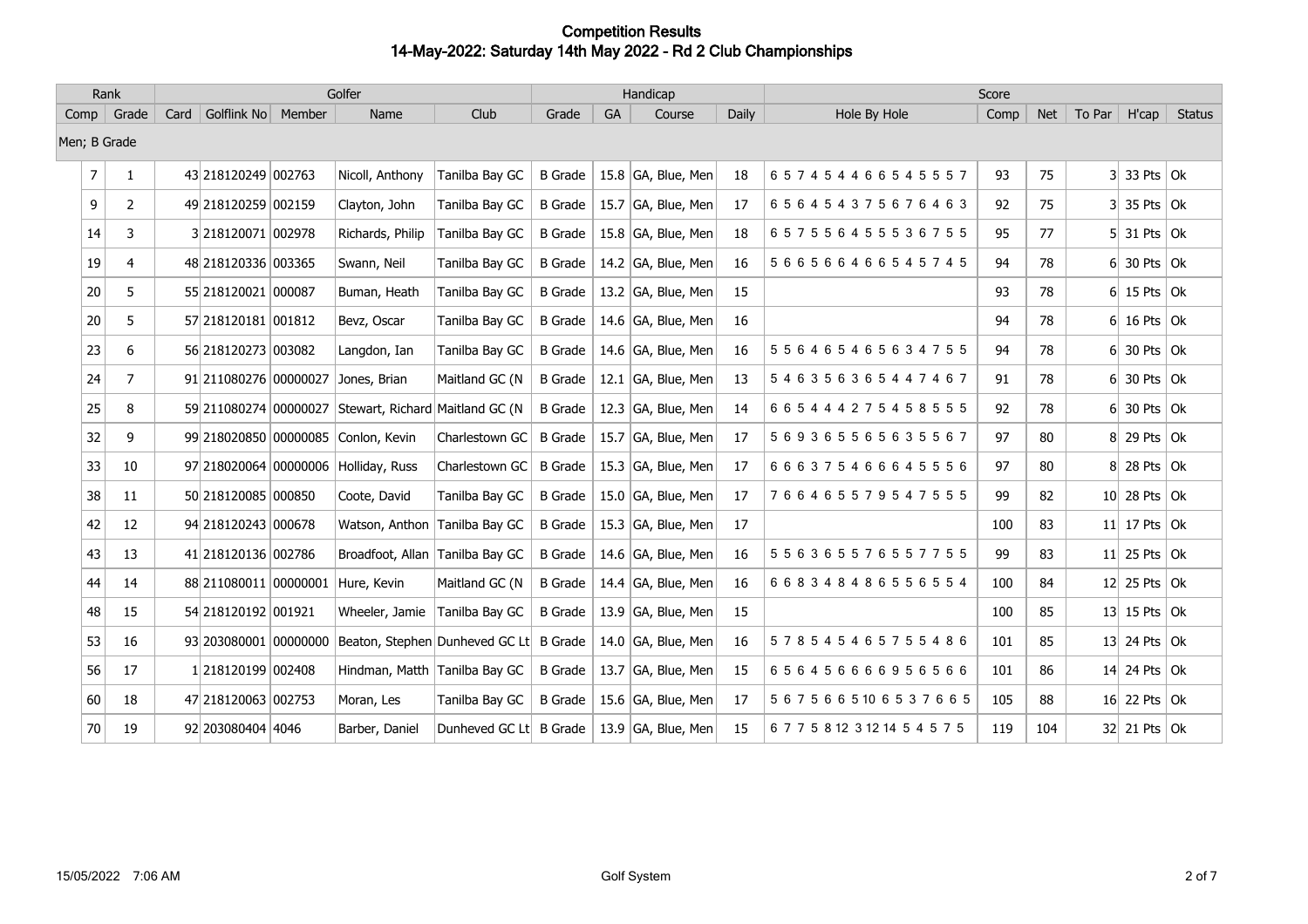|              | Rank |                |                                      |        | Golfer                           |                        |                |    | Handicap               |       | Score                          |      |            |        |                      |               |  |
|--------------|------|----------------|--------------------------------------|--------|----------------------------------|------------------------|----------------|----|------------------------|-------|--------------------------------|------|------------|--------|----------------------|---------------|--|
| Comp         |      | Grade          | Golflink No<br>Card                  | Member | Name                             | Club                   | Grade          | GA | Course                 | Daily | Hole By Hole                   | Comp | <b>Net</b> | To Par | H'cap                | <b>Status</b> |  |
| Men; B Grade |      |                |                                      |        |                                  |                        |                |    |                        |       |                                |      |            |        |                      |               |  |
|              | 7    | 1              | 43 218120249 002763                  |        | Nicoll, Anthony                  | Tanilba Bay GC         | <b>B</b> Grade |    | 15.8 $ GA$ , Blue, Men | 18    | 657454466545557                | 93   | 75         |        | $3 33$ Pts $ 0k$     |               |  |
|              | 9    | 2              | 49 218120259 002159                  |        | Clayton, John                    | Tanilba Bay GC         | <b>B</b> Grade |    | 15.7 $ GA$ , Blue, Men | 17    | 656454375676463                | 92   | 75         |        | $3$ 35 Pts Ok        |               |  |
|              | 14   | 3              | 3218120071 002978                    |        | Richards, Philip                 | Tanilba Bay GC         | <b>B</b> Grade |    | 15.8 $ GA$ , Blue, Men | 18    | 657556455536755                | 95   | 77         |        | $5$ 31 Pts Ok        |               |  |
|              | 19   | 4              | 48 218120336 003365                  |        | Swann, Neil                      | Tanilba Bay GC         | <b>B</b> Grade |    | 14.2 $ GA$ , Blue, Men | 16    | 566566466545745                | 94   | 78         |        | $6$ 30 Pts Ok        |               |  |
|              | 20   | 5              | 55 218120021 000087                  |        | Buman, Heath                     | Tanilba Bay GC         | <b>B</b> Grade |    | 13.2 $ GA$ , Blue, Men | 15    |                                | 93   | 78         |        | $6$ 15 Pts Ok        |               |  |
|              | 20   | 5              | 57 218120181 001812                  |        | Bevz, Oscar                      | Tanilba Bay GC         | <b>B</b> Grade |    | 14.6 GA, Blue, Men     | 16    |                                | 94   | 78         |        | $6$ 16 Pts Ok        |               |  |
|              | 23   | 6              | 56 218120273 003082                  |        | Langdon, Ian                     | Tanilba Bay GC         | <b>B</b> Grade |    | 14.6 GA, Blue, Men     | 16    | 556465465634755                | 94   | 78         | 61     | 30 Pts $\vert$ Ok    |               |  |
|              | 24   | $\overline{7}$ | 91 211080276 00000027                |        | Jones, Brian                     | Maitland GC (N         | <b>B</b> Grade |    | 12.1 $ GA$ , Blue, Men | 13    | 546356365447467                | 91   | 78         |        | $6$ 30 Pts Ok        |               |  |
|              | 25   | 8              | 59 211080274 00000027                |        | Stewart, Richard Maitland GC (N) |                        | <b>B</b> Grade |    | 12.3 $ GA$ , Blue, Men | 14    | 665444275458555                | 92   | 78         |        | $6$ 30 Pts Ok        |               |  |
|              | 32   | 9              | 99 218020850 00000085                |        | Conlon, Kevin                    | Charlestown GC         | <b>B</b> Grade |    | 15.7 GA, Blue, Men     | 17    | 569365565635567                | 97   | 80         |        | 8 29 Pts Ok          |               |  |
|              | 33   | 10             | 97 218020064 00000006 Holliday, Russ |        |                                  | Charlestown GC         | <b>B</b> Grade |    | 15.3 $ GA$ , Blue, Men | 17    | 666375466645556                | 97   | 80         |        | $8$ 28 Pts Ok        |               |  |
|              | 38   | 11             | 50 218120085 000850                  |        | Coote, David                     | Tanilba Bay GC         | <b>B</b> Grade |    | 15.0 $ GA$ , Blue, Men | 17    | 766465579547555                | 99   | 82         |        | $10$ 28 Pts Ok       |               |  |
|              | 42   | 12             | 94 218120243 000678                  |        | Watson, Anthon Tanilba Bay GC    |                        | <b>B</b> Grade |    | 15.3 $ GA$ , Blue, Men | 17    |                                | 100  | 83         |        | 11 17 Pts $ 0k$      |               |  |
|              | 43   | 13             | 41 218120136 002786                  |        | Broadfoot, Allan Tanilba Bay GC  |                        | <b>B</b> Grade |    | 14.6 GA, Blue, Men     | 16    | 556365576557755                | 99   | 83         |        | 11 25 Pts $\vert$ Ok |               |  |
|              | 44   | 14             | 88 211080011 00000001                |        | Hure, Kevin                      | Maitland GC (N         | <b>B</b> Grade |    | 14.4 $ GA$ , Blue, Men | 16    | 668348486556554                | 100  | 84         |        | 12 25 Pts $\vert$ Ok |               |  |
|              | 48   | 15             | 54 218120192 001921                  |        | Wheeler, Jamie                   | Tanilba Bay GC         | <b>B</b> Grade |    | 13.9 $ GA$ , Blue, Men | 15    |                                | 100  | 85         |        | 13 15 Pts $\vert$ Ok |               |  |
|              | 53   | 16             | 93 203080001 00000000                |        | Beaton, Stephen Dunheved GC Lt   |                        | <b>B</b> Grade |    | 14.0 $ GA$ , Blue, Men | 16    | 578545465755486                | 101  | 85         |        | 13 24 Pts $\vert$ Ok |               |  |
|              | 56   | 17             | 1218120199 002408                    |        | Hindman, Matth Tanilba Bay GC    |                        | <b>B</b> Grade |    | 13.7 GA, Blue, Men     | 15    | 656456666956566                | 101  | 86         |        | 14 24 Pts $\vert$ Ok |               |  |
|              | 60   | 18             | 47 218120063 002753                  |        | Moran, Les                       | Tanilba Bay GC         | <b>B</b> Grade |    | 15.6 GA, Blue, Men     | 17    | 5675665106537665               | 105  | 88         |        | 16 22 Pts $\vert$ Ok |               |  |
|              | 70   | 19             | 92 203080404 4046                    |        | Barber, Daniel                   | Dunheved GC Lt B Grade |                |    | 13.9 $ GA$ , Blue, Men | 15    | 6 7 7 5 8 12 3 12 14 5 4 5 7 5 | 119  | 104        |        | 32 21 Pts Ok         |               |  |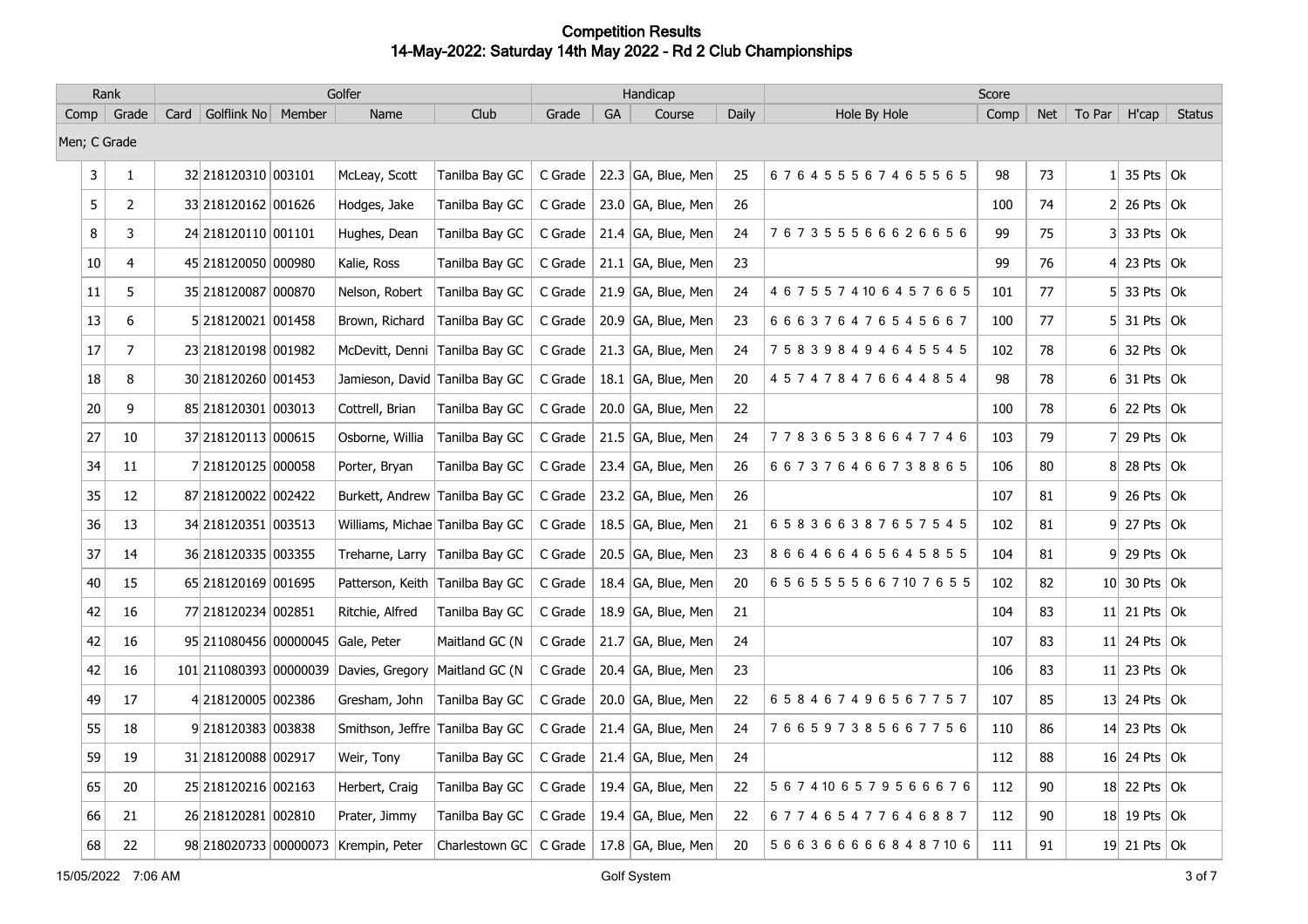|        | Rank           |                                   | Golfer                                 |                |         |           | Handicap               |       |                                | Score |            |                |                             |               |
|--------|----------------|-----------------------------------|----------------------------------------|----------------|---------|-----------|------------------------|-------|--------------------------------|-------|------------|----------------|-----------------------------|---------------|
|        | Comp   Grade   | Golflink No Member<br>Card        | Name                                   | Club           | Grade   | <b>GA</b> | Course                 | Daily | Hole By Hole                   | Comp  | <b>Net</b> | To Par $\vert$ | H'cap                       | <b>Status</b> |
|        | Men; C Grade   |                                   |                                        |                |         |           |                        |       |                                |       |            |                |                             |               |
| 3      | 1              | 32 218120310 003101               | McLeay, Scott                          | Tanilba Bay GC | C Grade |           | 22.3 $ GA, B $ ue, Men | 25    | 676455567465565                | 98    | 73         |                | $1 \vert 35$ Pts $\vert$ Ok |               |
| 5      | $\overline{2}$ | 33 218120162 001626               | Hodges, Jake                           | Tanilba Bay GC | C Grade |           | 23.0 $ GA$ , Blue, Men | 26    |                                | 100   | 74         |                | $2 26$ Pts $ 0k$            |               |
| 8      | 3              | 24 218120110 001101               | Hughes, Dean                           | Tanilba Bay GC | C Grade |           | 21.4 $ GA$ , Blue, Men | 24    | 767355566626656                | 99    | 75         |                | $3$ 33 Pts Ok               |               |
| $10\,$ | 4              | 45 218120050 000980               | Kalie, Ross                            | Tanilba Bay GC | C Grade |           | 21.1 $ GA$ , Blue, Men | 23    |                                | 99    | 76         |                | 4 23 Pts $\vert$ Ok         |               |
| 11     | 5              | 35 218120087 000870               | Nelson, Robert                         | Tanilba Bay GC | C Grade |           | 21.9 GA, Blue, Men     | 24    | 4 6 7 5 5 7 4 10 6 4 5 7 6 6 5 | 101   | 77         |                | $5$ 33 Pts Ok               |               |
| 13     | 6              | 5 218120021 001458                | Brown, Richard                         | Tanilba Bay GC | C Grade |           | 20.9 GA, Blue, Men     | 23    | 666376476545667                | 100   | 77         |                | $5$ 31 Pts   Ok             |               |
| 17     | $\overline{7}$ | 23 218120198 001982               | McDevitt, Denni                        | Tanilba Bay GC | C Grade |           | 21.3 GA, Blue, Men     | 24    | 758398494645545                | 102   | 78         |                | $6$ 32 Pts Ok               |               |
| 18     | 8              | 30 218120260 001453               | Jamieson, David Tanilba Bay GC         |                | C Grade |           | 18.1 $ GA$ , Blue, Men | 20    | 457478476644854                | 98    | 78         |                | $6$ 31 Pts Ok               |               |
| $20\,$ | 9              | 85 218120301 003013               | Cottrell, Brian                        | Tanilba Bay GC | C Grade |           | 20.0 GA, Blue, Men     | 22    |                                | 100   | 78         |                | $6$ 22 Pts Ok               |               |
| 27     | 10             | 37 218120113 000615               | Osborne, Willia                        | Tanilba Bay GC | C Grade |           | $21.5$ GA, Blue, Men   | 24    | 778365386647746                | 103   | 79         |                | $7$ 29 Pts Ok               |               |
| 34     | 11             | 7 218120125 000058                | Porter, Bryan                          | Tanilba Bay GC | C Grade |           | 23.4 $ GA$ , Blue, Men | 26    | 667376466738865                | 106   | 80         |                | 8 28 Pts Ok                 |               |
| 35     | 12             | 87 218120022 002422               | Burkett, Andrew Tanilba Bay GC         |                | C Grade |           | 23.2 GA, Blue, Men     | 26    |                                | 107   | 81         |                | $9$ 26 Pts Ok               |               |
| 36     | 13             | 34 218120351 003513               | Williams, Michae Tanilba Bay GC        |                | C Grade |           | 18.5 $ GA, B $ ue, Men | 21    | 658366387657545                | 102   | 81         |                | $9$ 27 Pts $\vert$ Ok       |               |
| 37     | 14             | 36 218120335 003355               | Treharne, Larry                        | Tanilba Bay GC | C Grade |           | 20.5 GA, Blue, Men     | 23    | 866466465645855                | 104   | 81         |                | $9$ 29 Pts Ok               |               |
| 40     | 15             | 65 218120169 001695               | Patterson, Keith Tanilba Bay GC        |                | C Grade |           | 18.4 GA, Blue, Men     | 20    | 6565555667107655               | 102   | 82         |                | 10 30 Pts   Ok              |               |
| 42     | 16             | 77 218120234 002851               | Ritchie, Alfred                        | Tanilba Bay GC | C Grade |           | 18.9 $ GA, B $ ue, Men | 21    |                                | 104   | 83         |                | 11 21 Pts $ 0k$             |               |
| 42     | 16             | 95 211080456 00000045 Gale, Peter |                                        | Maitland GC (N | C Grade |           | 21.7 GA, Blue, Men     | 24    |                                | 107   | 83         |                | 11 24 Pts $\vert$ Ok        |               |
| 42     | 16             |                                   | 101 211080393 00000039 Davies, Gregory | Maitland GC (N | C Grade |           | 20.4 GA, Blue, Men     | 23    |                                | 106   | 83         |                | 11 23 Pts $\vert$ Ok        |               |
| 49     | 17             | 4218120005 002386                 | Gresham, John                          | Tanilba Bay GC | C Grade |           | 20.0 GA, Blue, Men     | 22    | 658467496567757                | 107   | 85         |                | 13 24 Pts $\alpha$          |               |
| 55     | 18             | 9218120383 003838                 | Smithson, Jeffre Tanilba Bay GC        |                | C Grade |           | 21.4 $ GA$ , Blue, Men | 24    | 766597385667756                | 110   | 86         |                | 14 23 Pts $ Ok$             |               |
| 59     | 19             | 31 218120088 002917               | Weir, Tony                             | Tanilba Bay GC | C Grade |           | 21.4 $ GA$ , Blue, Men | 24    |                                | 112   | 88         |                | $16$ 24 Pts Ok              |               |
| 65     | 20             | 25 218120216 002163               | Herbert, Craig                         | Tanilba Bay GC | C Grade |           | 19.4 $ GA$ , Blue, Men | 22    | 5674106579566676               | 112   | 90         |                | 18 22 Pts $\vert$ Ok        |               |
| 66     | 21             | 26 218120281 002810               | Prater, Jimmy                          | Tanilba Bay GC | C Grade |           | 19.4 $ GA$ , Blue, Men | 22    | 677465477646887                | 112   | 90         |                | 18 19 Pts $\vert$ Ok        |               |
| 68     | 22             |                                   | 98 218020733 00000073 Krempin, Peter   | Charlestown GC | C Grade |           | 17.8 $ GA, B $ ue, Men | 20    | 5 6 6 3 6 6 6 6 6 8 4 8 7 10 6 | 111   | 91         |                | 19 21 Pts $\vert$ Ok        |               |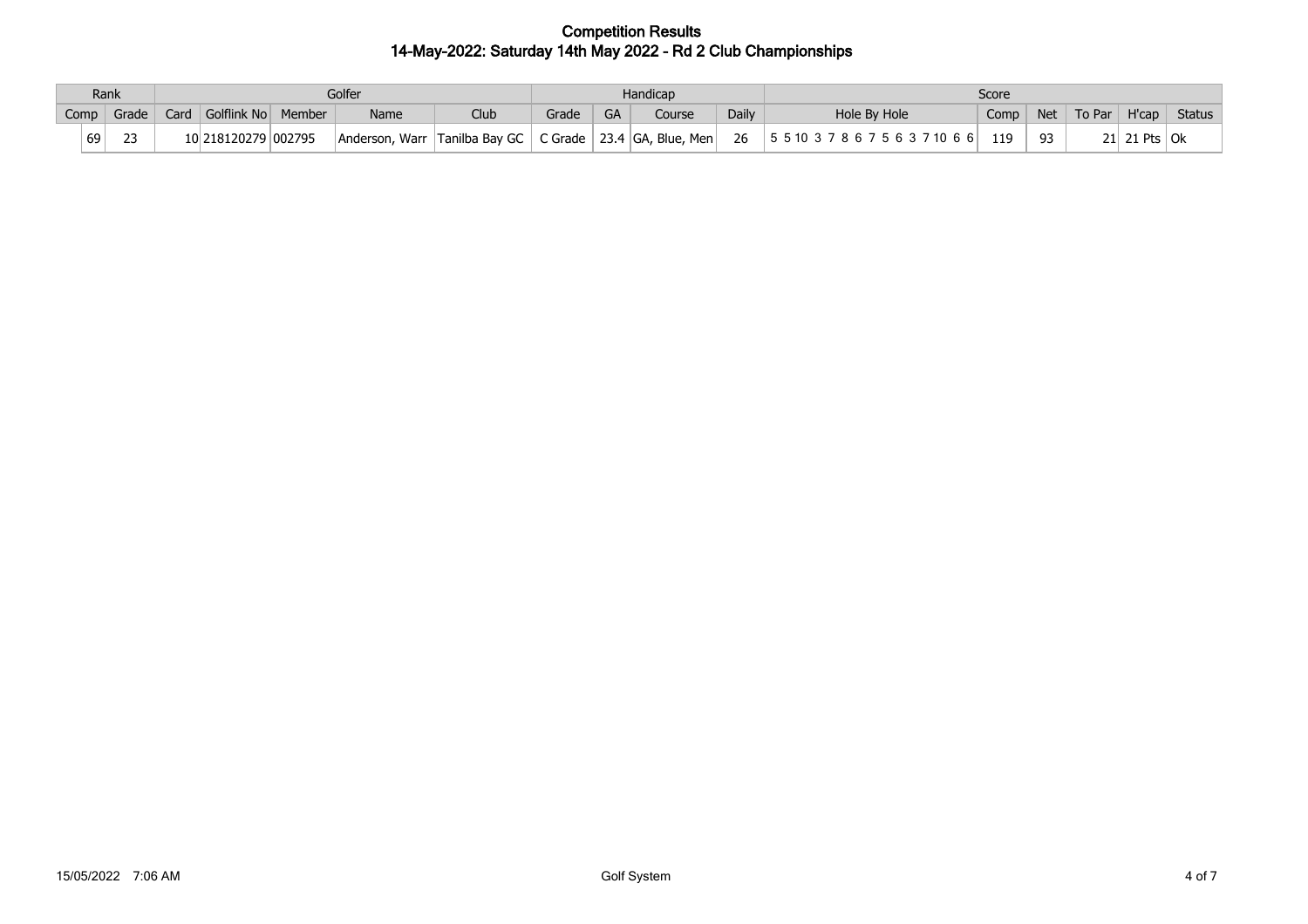|      | Rank   |                     |        | Golfer                        |      |         |           | Handicap                           |       | Score                           |      |     |        |                              |               |  |  |
|------|--------|---------------------|--------|-------------------------------|------|---------|-----------|------------------------------------|-------|---------------------------------|------|-----|--------|------------------------------|---------------|--|--|
| Comp | Grade  | Card Golflink No    | Member | Name                          | Club | Grade   | <b>GA</b> | Course                             | Daily | Hole By Hole                    | Comp | Net | To Par | H'cap                        | <b>Status</b> |  |  |
| 69   | $\sim$ | 10 218120279 002795 |        | Anderson, Warr Tanilba Bay GC |      | C Grade |           | $\vert$ 23.4 GA, Blue, Men $\vert$ | 26    | 5 5 10 3 7 8 6 7 5 6 3 7 10 6 6 | 119  | 93  | $21$ . | $^{\circ}$ 21 Pts $\vert$ Ok |               |  |  |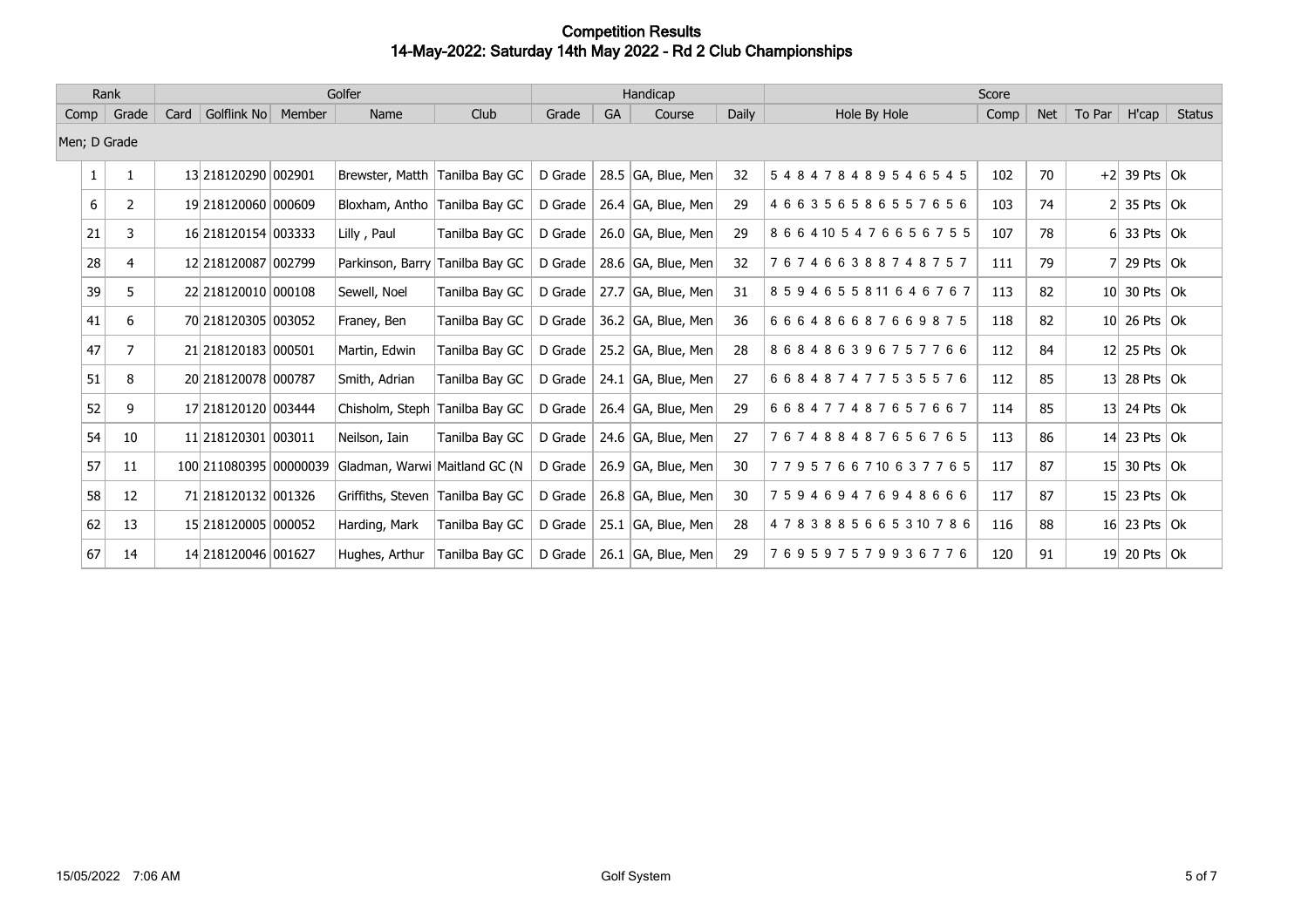|              | Golfer<br>Rank |      |                     |        |                                                      |                | Handicap |      | Score                  |       |                  |      |            |                 |                      |               |
|--------------|----------------|------|---------------------|--------|------------------------------------------------------|----------------|----------|------|------------------------|-------|------------------|------|------------|-----------------|----------------------|---------------|
| Comp         | Grade          | Card | Golflink No         | Member | Name                                                 | Club           | Grade    | GA   | Course                 | Daily | Hole By Hole     | Comp | <b>Net</b> | To Par          | H'cap                | <b>Status</b> |
| Men; D Grade |                |      |                     |        |                                                      |                |          |      |                        |       |                  |      |            |                 |                      |               |
| $\mathbf{1}$ | 1              |      | 13 218120290 002901 |        | Brewster, Matth                                      | Tanilba Bay GC | D Grade  |      | 28.5 $ GA$ , Blue, Men | 32    | 548478489546545  | 102  | 70         |                 | $+2$ 39 Pts Ok       |               |
| 6            | 2              |      | 19 218120060 000609 |        | Bloxham, Antho                                       | Tanilba Bay GC | D Grade  |      | 26.4 $ GA$ , Blue, Men | 29    | 466356586557656  | 103  | 74         |                 | 35 Pts $ $ Ok        |               |
| 21           | 3              |      | 16 218120154 003333 |        | Lilly, Paul                                          | Tanilba Bay GC | D Grade  |      | 26.0 GA, Blue, Men     | 29    | 8664105476656755 | 107  | 78         |                 | 6 33 Pts $\vert$ Ok  |               |
| 28           | 4              |      | 12 218120087 002799 |        | Parkinson, Barry                                     | Tanilba Bay GC | D Grade  |      | 28.6 GA, Blue, Men     | 32    | 767466388748757  | 111  | 79         |                 | 29 Pts $ Ok $        |               |
| 39           | 5              |      | 22 218120010 000108 |        | Sewell, Noel                                         | Tanilba Bay GC | D Grade  |      | 27.7 GA, Blue, Men     | 31    | 8594655811646767 | 113  | 82         |                 | 10 30 Pts $\vert$ Ok |               |
| 41           | 6              |      | 70 218120305 003052 |        | Franey, Ben                                          | Tanilba Bay GC | D Grade  |      | 36.2 GA, Blue, Men     | 36    | 666486687669875  | 118  | 82         |                 | $10$ 26 Pts Ok       |               |
| 47           | 7              |      | 21 218120183 000501 |        | Martin, Edwin                                        | Tanilba Bay GC | D Grade  |      | 25.2 GA, Blue, Men     | 28    | 868486396757766  | 112  | 84         |                 | 12 25 Pts $\vert$ Ok |               |
| 51           | 8              |      | 20 218120078 000787 |        | Smith, Adrian                                        | Tanilba Bay GC | D Grade  |      | 24.1 $ GA$ , Blue, Men | 27    | 668487477535576  | 112  | 85         | 13 <sup>l</sup> | 28 Pts $ Ok $        |               |
| 52           | 9              |      | 17 218120120 003444 |        | Chisholm, Steph                                      | Tanilba Bay GC | D Grade  |      | 26.4 $ GA$ , Blue, Men | 29    | 668477487657667  | 114  | 85         |                 | 13 24 Pts $\vert$ Ok |               |
| 54           | 10             |      | 11 218120301 003011 |        | Neilson, Iain                                        | Tanilba Bay GC | D Grade  |      | 24.6 GA, Blue, Men     | 27    | 767488487656765  | 113  | 86         | 14              | 23 Pts $ Ok $        |               |
| 57           | 11             |      |                     |        | 100 211080395 00000039 Gladman, Warwi Maitland GC (N |                | D Grade  |      | 26.9 $ GA$ , Blue, Men | 30    | 7795766710637765 | 117  | 87         |                 | 15 30 Pts $\vert$ Ok |               |
| 58           | 12             |      | 71 218120132 001326 |        | Griffiths, Steven Tanilba Bay GC                     |                | D Grade  |      | 26.8 GA, Blue, Men     | 30    | 759469476948666  | 117  | 87         |                 | 15 23 Pts $\alpha$   |               |
| 62           | 13             |      | 15 218120005 000052 |        | Harding, Mark                                        | Tanilba Bay GC | D Grade  | 25.1 | GA, Blue, Men          | 28    | 4783885665310786 | 116  | 88         | 16 <sup>l</sup> | 23 Pts $ Ok $        |               |
| 67           | 14             |      | 14 218120046 001627 |        | Hughes, Arthur                                       | Tanilba Bay GC | D Grade  |      | 26.1 $ GA$ , Blue, Men | 29    | 769597579936776  | 120  | 91         |                 | 19 20 Pts $\vert$ Ok |               |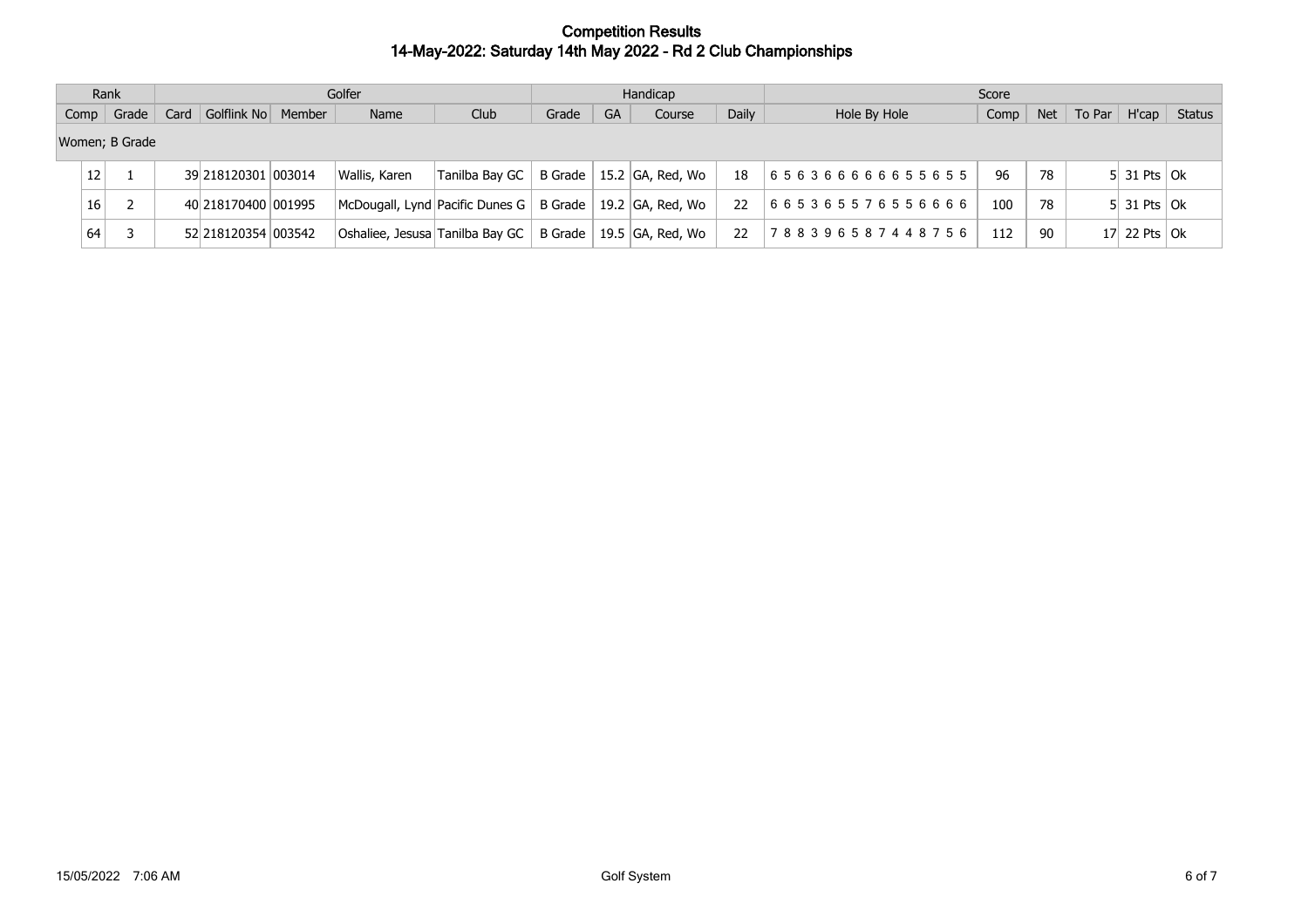|             | Rank            |       |  |                     | Golfer |                                           |                |         | Handicap |                    | Score        |                 |      |            |        |                           |                |  |
|-------------|-----------------|-------|--|---------------------|--------|-------------------------------------------|----------------|---------|----------|--------------------|--------------|-----------------|------|------------|--------|---------------------------|----------------|--|
| $Comp \mid$ |                 | Grade |  | Card Golflink No    | Member | Name                                      | Club           | Grade   | GA       | Course             | Daily        | Hole By Hole    | Comp | <b>Net</b> | To Par |                           | $H'cap$ Status |  |
|             | Women; B Grade  |       |  |                     |        |                                           |                |         |          |                    |              |                 |      |            |        |                           |                |  |
|             | 12 <sup>1</sup> |       |  | 39 218120301 003014 |        | Wallis, Karen                             | Tanilba Bav GC | B Grade |          | 15.2  GA, Red, Wo  | 18           | 656366666655655 | 96   | 78         |        | $5$ 31 Pts Ok             |                |  |
| 16          |                 |       |  | 40 218170400 001995 |        | McDougall, Lynd Pacific Dunes G   B Grade |                |         |          | $19.2$ GA, Red, Wo | $22^{\circ}$ | 665365576556666 | 100  | 78         |        | $5$ 31 Pts Ok             |                |  |
| 64          |                 |       |  | 52 218120354 003542 |        | Oshaliee, Jesusa Tanilba Bay GC           |                | B Grade |          | 19.5   GA, Red, Wo | 22           | 788396587448756 | 112  | 90         |        | 17 22 Pts $\overline{Ok}$ |                |  |